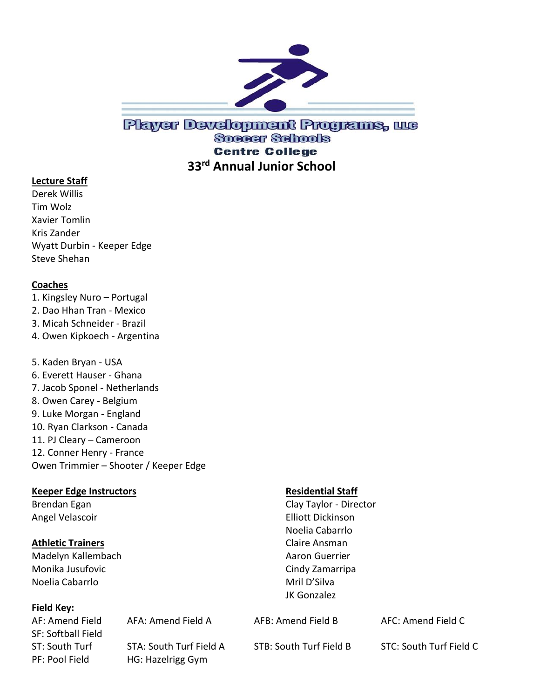

## Player Development Programs, we **Soccer Schools Centre College 33rd Annual Junior School**

### **Lecture Staff**

Derek Willis Tim Wolz Xavier Tomlin Kris Zander Wyatt Durbin - Keeper Edge Steve Shehan

### **Coaches**

1. Kingsley Nuro – Portugal 2. Dao Hhan Tran - Mexico 3. Micah Schneider - Brazil 4. Owen Kipkoech - Argentina 5. Kaden Bryan - USA 6. Everett Hauser - Ghana 7. Jacob Sponel - Netherlands 8. Owen Carey - Belgium 9. Luke Morgan - England 10. Ryan Clarkson - Canada 11. PJ Cleary – Cameroon 12. Conner Henry - France Owen Trimmier – Shooter / Keeper Edge

### **Keeper Edge Instructors Residential Staff**

### **Athletic Trainers Claire Ansman**

Madelyn Kallembach **Aaron Guerrier** Aaron Guerrier Monika Jusufovic **Cindy Zamarripa** Noelia Cabarrlo **Mril D'Silva** 

### **Field Key:**

AF: Amend Field AFA: Amend Field A AFB: Amend Field B AFC: Amend Field C SF: Softball Field ST: South Turf STA: South Turf Field A STB: South Turf Field B STC: South Turf Field C PF: Pool Field HG: Hazelrigg Gym

Brendan Egan Clay Taylor - Director Angel Velascoir **Elliott Dickinson** Noelia Cabarrlo JK Gonzalez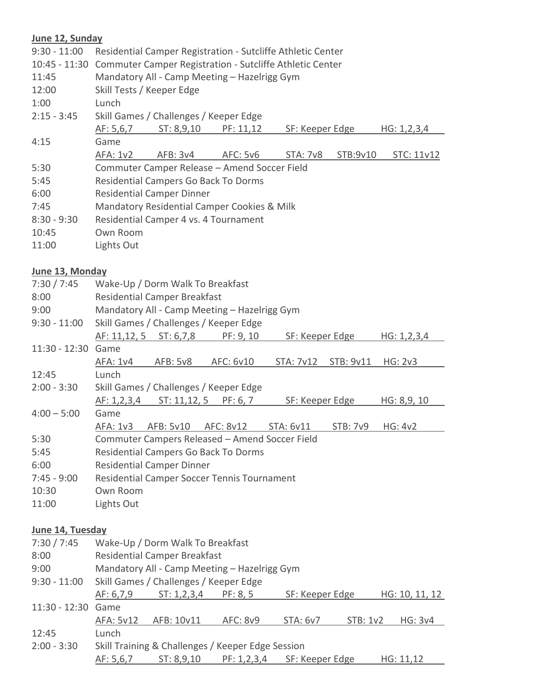# **June 12, Sunday**

| Julie IZ, Suliudy |                                                                        |                                                 |                                                             |                 |                 |                |  |  |  |  |
|-------------------|------------------------------------------------------------------------|-------------------------------------------------|-------------------------------------------------------------|-----------------|-----------------|----------------|--|--|--|--|
| $9:30 - 11:00$    |                                                                        |                                                 | Residential Camper Registration - Sutcliffe Athletic Center |                 |                 |                |  |  |  |  |
|                   | 10:45 - 11:30 Commuter Camper Registration - Sutcliffe Athletic Center |                                                 |                                                             |                 |                 |                |  |  |  |  |
| 11:45             | Mandatory All - Camp Meeting - Hazelrigg Gym                           |                                                 |                                                             |                 |                 |                |  |  |  |  |
| 12:00             |                                                                        | Skill Tests / Keeper Edge                       |                                                             |                 |                 |                |  |  |  |  |
| 1:00              | Lunch                                                                  |                                                 |                                                             |                 |                 |                |  |  |  |  |
| $2:15 - 3:45$     |                                                                        |                                                 | Skill Games / Challenges / Keeper Edge                      |                 |                 |                |  |  |  |  |
|                   | AF: 5, 6, 7                                                            | ST: 8,9,10                                      | PF: 11,12                                                   | SF: Keeper Edge |                 | HG: 1, 2, 3, 4 |  |  |  |  |
| 4:15              | Game                                                                   |                                                 |                                                             |                 |                 |                |  |  |  |  |
|                   | <b>AFA: 1v2</b>                                                        | AFB: 3v4                                        | <b>AFC: 5v6</b>                                             | <b>STA: 7v8</b> | STB:9v10        | STC: 11v12     |  |  |  |  |
| 5:30              |                                                                        |                                                 | Commuter Camper Release - Amend Soccer Field                |                 |                 |                |  |  |  |  |
| 5:45              | Residential Campers Go Back To Dorms                                   |                                                 |                                                             |                 |                 |                |  |  |  |  |
| 6:00              | <b>Residential Camper Dinner</b>                                       |                                                 |                                                             |                 |                 |                |  |  |  |  |
| 7:45              | Mandatory Residential Camper Cookies & Milk                            |                                                 |                                                             |                 |                 |                |  |  |  |  |
| $8:30 - 9:30$     |                                                                        |                                                 | Residential Camper 4 vs. 4 Tournament                       |                 |                 |                |  |  |  |  |
| 10:45             | Own Room                                                               |                                                 |                                                             |                 |                 |                |  |  |  |  |
| 11:00             | Lights Out                                                             |                                                 |                                                             |                 |                 |                |  |  |  |  |
|                   |                                                                        |                                                 |                                                             |                 |                 |                |  |  |  |  |
| June 13, Monday   |                                                                        |                                                 |                                                             |                 |                 |                |  |  |  |  |
| 7:30 / 7:45       |                                                                        | Wake-Up / Dorm Walk To Breakfast                |                                                             |                 |                 |                |  |  |  |  |
| 8:00              |                                                                        | <b>Residential Camper Breakfast</b>             |                                                             |                 |                 |                |  |  |  |  |
| 9:00              | Mandatory All - Camp Meeting - Hazelrigg Gym                           |                                                 |                                                             |                 |                 |                |  |  |  |  |
| $9:30 - 11:00$    |                                                                        |                                                 | Skill Games / Challenges / Keeper Edge                      |                 |                 |                |  |  |  |  |
|                   | AF: 11,12, 5                                                           | $S_{T}: 6,7,8$                                  | PF: 9, 10                                                   | SF: Keeper Edge |                 | HG: 1, 2, 3, 4 |  |  |  |  |
| $11:30 - 12:30$   | Game                                                                   |                                                 |                                                             |                 |                 |                |  |  |  |  |
|                   | AFA: 1v4                                                               | <b>AFB: 5v8</b>                                 | AFC: 6v10                                                   | STA: 7v12       | STB: 9v11       | HG: 2v3        |  |  |  |  |
| 12:45             | Lunch                                                                  |                                                 |                                                             |                 |                 |                |  |  |  |  |
| $2:00 - 3:30$     |                                                                        |                                                 | Skill Games / Challenges / Keeper Edge                      |                 |                 |                |  |  |  |  |
|                   | AF: 1, 2, 3, 4                                                         | ST: 11, 12, 5                                   | PF: 6, 7                                                    | SF: Keeper Edge |                 | HG: 8,9, 10    |  |  |  |  |
| $4:00 - 5:00$     | Game                                                                   |                                                 |                                                             |                 |                 |                |  |  |  |  |
|                   | AFA: 1v3                                                               | AFB: 5v10                                       | AFC: 8v12                                                   | STA: 6v11       | <b>STB: 7v9</b> | <b>HG: 4v2</b> |  |  |  |  |
| 5:30              |                                                                        |                                                 | Commuter Campers Released - Amend Soccer Field              |                 |                 |                |  |  |  |  |
| 5:45              |                                                                        |                                                 | Residential Campers Go Back To Dorms                        |                 |                 |                |  |  |  |  |
| 6:00              |                                                                        | <b>Residential Camper Dinner</b>                |                                                             |                 |                 |                |  |  |  |  |
| $7:45 - 9:00$     |                                                                        |                                                 | Residential Camper Soccer Tennis Tournament                 |                 |                 |                |  |  |  |  |
| 10:30             | Own Room                                                               |                                                 |                                                             |                 |                 |                |  |  |  |  |
| 11:00             | Lights Out                                                             |                                                 |                                                             |                 |                 |                |  |  |  |  |
|                   |                                                                        |                                                 |                                                             |                 |                 |                |  |  |  |  |
| June 14, Tuesday  |                                                                        |                                                 |                                                             |                 |                 |                |  |  |  |  |
| 7:30 / 7:45       |                                                                        | Wake-Up / Dorm Walk To Breakfast                |                                                             |                 |                 |                |  |  |  |  |
| 8:00              | <b>Residential Camper Breakfast</b>                                    |                                                 |                                                             |                 |                 |                |  |  |  |  |
| 9:00              |                                                                        |                                                 | Mandatory All - Camp Meeting - Hazelrigg Gym                |                 |                 |                |  |  |  |  |
| $9:30 - 11:00$    |                                                                        |                                                 | Skill Games / Challenges / Keeper Edge                      |                 |                 |                |  |  |  |  |
|                   | AF: 6,7,9                                                              | ST: 1, 2, 3, 4                                  | PF: 8, 5                                                    | SF: Keeper Edge |                 | HG: 10, 11, 12 |  |  |  |  |
| 11:30 - 12:30     | Game                                                                   |                                                 |                                                             |                 |                 |                |  |  |  |  |
|                   | AFA: 5v12                                                              | AFB: 10v11                                      | <b>AFC: 8v9</b>                                             | STA: 6v7        | STB: 1v2        | <b>HG: 3v4</b> |  |  |  |  |
| 12:45             | Lunch                                                                  |                                                 |                                                             |                 |                 |                |  |  |  |  |
| $2:00 - 3:30$     |                                                                        |                                                 | Skill Training & Challenges / Keeper Edge Session           |                 |                 |                |  |  |  |  |
|                   | AF: 5, 6, 7                                                            | ST: 8,9,10<br>PF: 1, 2, 3, 4<br>SF: Keeper Edge |                                                             |                 |                 | HG: 11,12      |  |  |  |  |